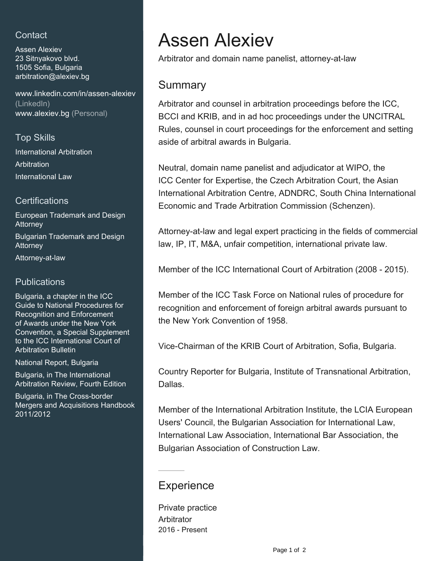## **Contact**

Assen Alexiev 23 Sitnyakovo blvd. 1505 Sofia, Bulgaria [arbitration@alexiev.bg](mailto:arbitration@alexiev.bg)

[www.linkedin.com/in/assen-alexiev](https://www.linkedin.com/in/assen-alexiev?jobid=1234&lipi=urn%3Ali%3Apage%3Ad_jobs_easyapply_pdfgenresume%3BqNgMqaf5Q3ixwCX7QVvNLw%3D%3D&licu=urn%3Ali%3Acontrol%3Ad_jobs_easyapply_pdfgenresume-v02_profile) [\(LinkedIn\)](https://www.linkedin.com/in/assen-alexiev?jobid=1234&lipi=urn%3Ali%3Apage%3Ad_jobs_easyapply_pdfgenresume%3BqNgMqaf5Q3ixwCX7QVvNLw%3D%3D&licu=urn%3Ali%3Acontrol%3Ad_jobs_easyapply_pdfgenresume-v02_profile) [www.alexiev.bg \(Personal\)](http://www.alexiev.bg)

### Top Skills

International Arbitration **Arbitration** International Law

#### **Certifications**

European Trademark and Design **Attorney** Bulgarian Trademark and Design **Attorney** Attorney-at-law

### **Publications**

Bulgaria, a chapter in the ICC Guide to National Procedures for Recognition and Enforcement of Awards under the New York Convention, a Special Supplement to the ICC International Court of Arbitration Bulletin

National Report, Bulgaria

Bulgaria, in The International Arbitration Review, Fourth Edition

Bulgaria, in The Cross-border Mergers and Acquisitions Handbook 2011/2012

# Assen Alexiev

Arbitrator and domain name panelist, attorney-at-law

## **Summary**

Arbitrator and counsel in arbitration proceedings before the ICC, BCCI and KRIB, and in ad hoc proceedings under the UNCITRAL Rules, counsel in court proceedings for the enforcement and setting aside of arbitral awards in Bulgaria.

Neutral, domain name panelist and adjudicator at WIPO, the ICC Center for Expertise, the Czech Arbitration Court, the Asian International Arbitration Centre, ADNDRC, South China International Economic and Trade Arbitration Commission (Schenzen).

Attorney-at-law and legal expert practicing in the fields of commercial law, IP, IT, M&A, unfair competition, international private law.

Member of the ICC International Court of Arbitration (2008 - 2015).

Member of the ICC Task Force on National rules of procedure for recognition and enforcement of foreign arbitral awards pursuant to the New York Convention of 1958.

Vice-Chairman of the KRIB Court of Arbitration, Sofia, Bulgaria.

Country Reporter for Bulgaria, Institute of Transnational Arbitration, Dallas.

Member of the International Arbitration Institute, the LCIA European Users' Council, the Bulgarian Association for International Law, International Law Association, International Bar Association, the Bulgarian Association of Construction Law.

## **Experience**

Private practice **Arbitrator** 2016 - Present